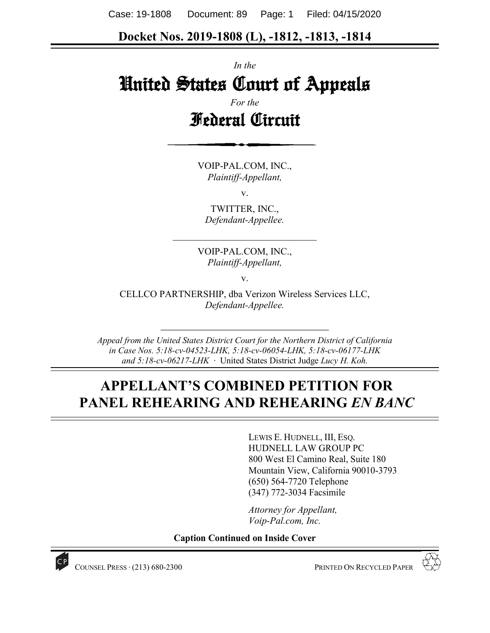Case: 19-1808 Document: 89 Page: 1 Filed: 04/15/2020

### **Docket Nos. 2019-1808 (L), -1812, -1813, -1814**

*In the*

# United States Court of Appeals

*For the* Federal Circuit

VOIP-PAL.COM, INC., *Plaintiff-Appellant,*

v.

TWITTER, INC., *Defendant-Appellee.*

*\_\_\_\_\_\_\_\_\_\_\_\_\_\_\_\_\_\_\_\_\_\_\_\_\_\_\_\_\_\_*

VOIP-PAL.COM, INC., *Plaintiff-Appellant,*

v.

CELLCO PARTNERSHIP, dba Verizon Wireless Services LLC, *Defendant-Appellee.*

*Appeal from the United States District Court for the Northern District of California in Case Nos. 5:18-cv-04523-LHK, 5:18-cv-06054-LHK, 5:18-cv-06177-LHK and 5:18-cv-06217-LHK* ∙ United States District Judge *Lucy H. Koh.*

*\_\_\_\_\_\_\_\_\_\_\_\_\_\_\_\_\_\_\_\_\_\_\_\_\_\_\_\_\_\_*

# **APPELLANT'S COMBINED PETITION FOR PANEL REHEARING AND REHEARING** *EN BANC*

LEWIS E. HUDNELL, III, ESQ. HUDNELL LAW GROUP PC 800 West El Camino Real, Suite 180 Mountain View, California 90010-3793 (650) 564-7720 Telephone (347) 772-3034 Facsimile

*Attorney for Appellant, Voip-Pal.com, Inc.*

**Caption Continued on Inside Cover**



COUNSEL PRESS ∙ (213) 680-2300 PRINTED ON RECYCLED PAPER

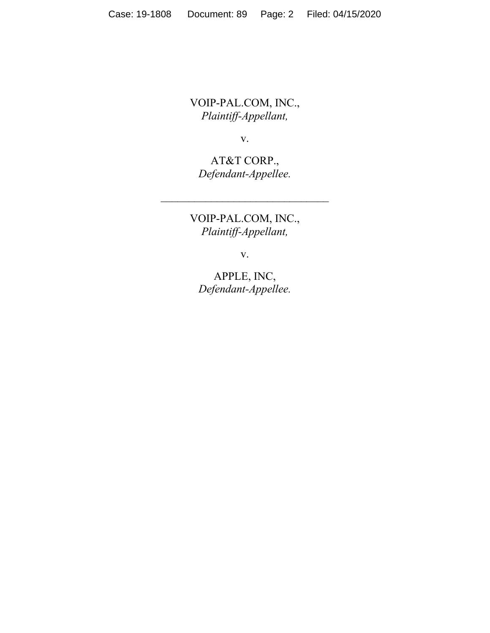VOIP-PAL.COM, INC., *Plaintiff-Appellant,*

v.

AT&T CORP., *Defendant-Appellee.*

*\_\_\_\_\_\_\_\_\_\_\_\_\_\_\_\_\_\_\_\_\_\_\_\_\_\_\_\_\_\_*

VOIP-PAL.COM, INC., *Plaintiff-Appellant,*

v.

APPLE, INC, *Defendant-Appellee.*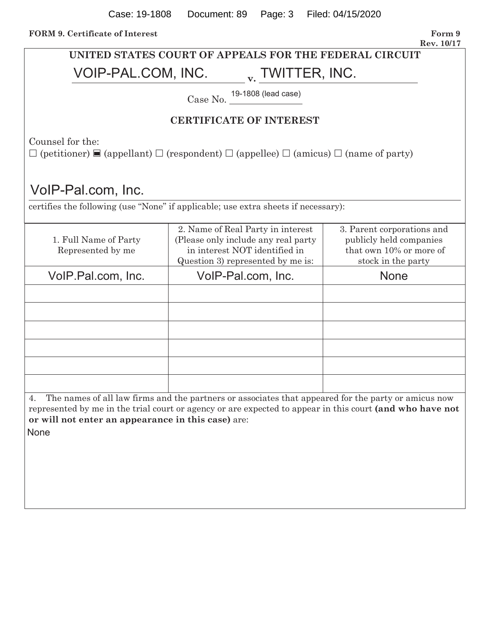| UNITED STATES COURT OF APPEALS FOR THE FEDERAL CIRCUIT                                                                                                                                                                                                                              |                                                                                                                                                |                                                                                                        |  |  |
|-------------------------------------------------------------------------------------------------------------------------------------------------------------------------------------------------------------------------------------------------------------------------------------|------------------------------------------------------------------------------------------------------------------------------------------------|--------------------------------------------------------------------------------------------------------|--|--|
| VOIP-PAL.COM, INC.<br>v. TWITTER, INC.                                                                                                                                                                                                                                              |                                                                                                                                                |                                                                                                        |  |  |
| Case No. 19-1808 (lead case)                                                                                                                                                                                                                                                        |                                                                                                                                                |                                                                                                        |  |  |
| <b>CERTIFICATE OF INTEREST</b>                                                                                                                                                                                                                                                      |                                                                                                                                                |                                                                                                        |  |  |
| Counsel for the:<br>$\square$ (petitioner) $\square$ (appellant) $\square$ (respondent) $\square$ (appellee) $\square$ (amicus) $\square$ (name of party)                                                                                                                           |                                                                                                                                                |                                                                                                        |  |  |
| VoIP-Pal.com, Inc.                                                                                                                                                                                                                                                                  |                                                                                                                                                |                                                                                                        |  |  |
|                                                                                                                                                                                                                                                                                     | certifies the following (use "None" if applicable; use extra sheets if necessary):                                                             |                                                                                                        |  |  |
| 1. Full Name of Party<br>Represented by me                                                                                                                                                                                                                                          | 2. Name of Real Party in interest<br>(Please only include any real party<br>in interest NOT identified in<br>Question 3) represented by me is: | 3. Parent corporations and<br>publicly held companies<br>that own 10% or more of<br>stock in the party |  |  |
| VoIP.Pal.com, Inc.                                                                                                                                                                                                                                                                  | VoIP-Pal.com, Inc.                                                                                                                             | <b>None</b>                                                                                            |  |  |
|                                                                                                                                                                                                                                                                                     |                                                                                                                                                |                                                                                                        |  |  |
|                                                                                                                                                                                                                                                                                     |                                                                                                                                                |                                                                                                        |  |  |
|                                                                                                                                                                                                                                                                                     |                                                                                                                                                |                                                                                                        |  |  |
|                                                                                                                                                                                                                                                                                     |                                                                                                                                                |                                                                                                        |  |  |
|                                                                                                                                                                                                                                                                                     |                                                                                                                                                |                                                                                                        |  |  |
| The names of all law firms and the partners or associates that appeared for the party or amicus now<br>4.<br>represented by me in the trial court or agency or are expected to appear in this court (and who have not<br>or will not enter an appearance in this case) are:<br>None |                                                                                                                                                |                                                                                                        |  |  |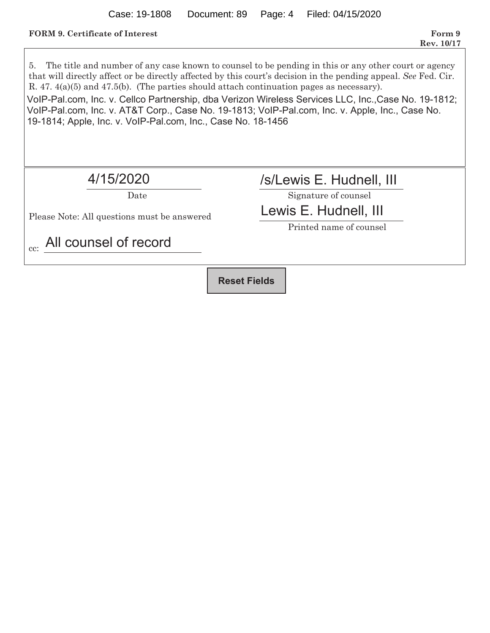#### **FORM 9.** Certificate of Interest Form 9

5. The title and number of any case known to counsel to be pending in this or any other court or agency that will directly affect or be directly affected by this court's decision in the pending appeal. *See* Fed. Cir. R. 47. 4(a)(5) and 47.5(b). (The parties should attach continuation pages as necessary). Date Signature of counsel Please Note: All questions must be answered Printed name of counsel cc: VoIP-Pal.com, Inc. v. Cellco Partnership, dba Verizon Wireless Services LLC, Inc.,Case No. 19-1812; VoIP-Pal.com, Inc. v. AT&T Corp., Case No. 19-1813; VoIP-Pal.com, Inc. v. Apple, Inc., Case No. 19-1814; Apple, Inc. v. VoIP-Pal.com, Inc., Case No. 18-1456 4/15/2020 /s/Lewis E. Hudnell, III Lewis E. Hudnell, III All counsel of record **Reset Fields**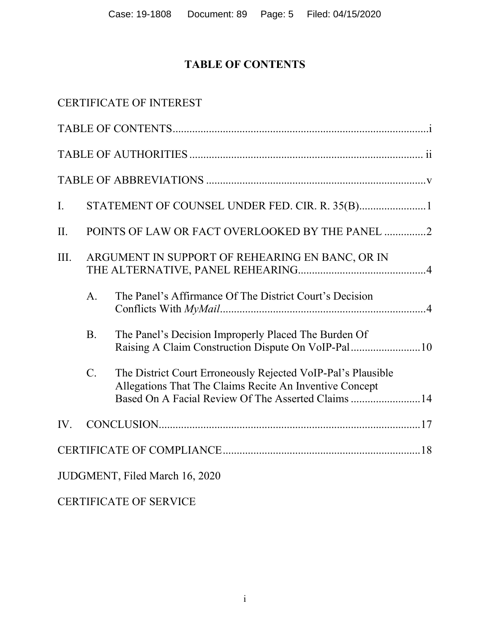# **TABLE OF CONTENTS**

|                |                                                 | <b>CERTIFICATE OF INTEREST</b>                                                                                                                                                |  |
|----------------|-------------------------------------------------|-------------------------------------------------------------------------------------------------------------------------------------------------------------------------------|--|
|                |                                                 |                                                                                                                                                                               |  |
|                |                                                 |                                                                                                                                                                               |  |
|                |                                                 |                                                                                                                                                                               |  |
| $\mathbf{I}$ . |                                                 |                                                                                                                                                                               |  |
| II.            |                                                 | POINTS OF LAW OR FACT OVERLOOKED BY THE PANEL 2                                                                                                                               |  |
| III.           | ARGUMENT IN SUPPORT OF REHEARING EN BANC, OR IN |                                                                                                                                                                               |  |
|                | A <sub>1</sub>                                  | The Panel's Affirmance Of The District Court's Decision                                                                                                                       |  |
|                | <b>B.</b>                                       | The Panel's Decision Improperly Placed The Burden Of<br>Raising A Claim Construction Dispute On VoIP-Pal10                                                                    |  |
|                | $C_{\cdot}$                                     | The District Court Erroneously Rejected VoIP-Pal's Plausible<br>Allegations That The Claims Recite An Inventive Concept<br>Based On A Facial Review Of The Asserted Claims 14 |  |
| IV.            |                                                 |                                                                                                                                                                               |  |
|                |                                                 |                                                                                                                                                                               |  |
|                |                                                 | JUDGMENT, Filed March 16, 2020                                                                                                                                                |  |
|                |                                                 | <b>CERTIFICATE OF SERVICE</b>                                                                                                                                                 |  |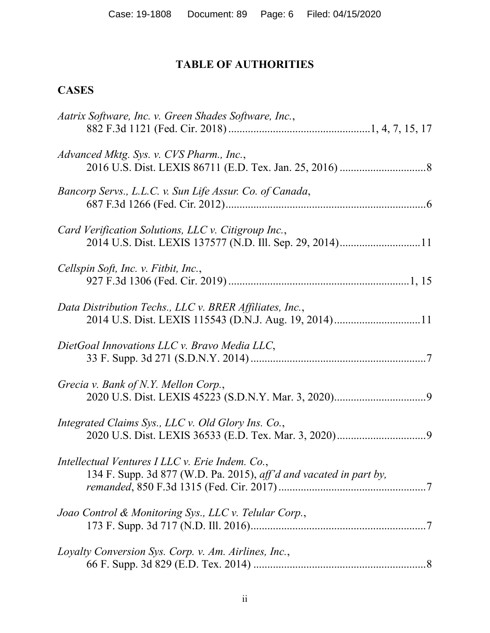# **TABLE OF AUTHORITIES**

# **CASES**

| Aatrix Software, Inc. v. Green Shades Software, Inc.,                                                                 |
|-----------------------------------------------------------------------------------------------------------------------|
| Advanced Mktg. Sys. v. CVS Pharm., Inc.,                                                                              |
| Bancorp Servs., L.L.C. v. Sun Life Assur. Co. of Canada,                                                              |
| Card Verification Solutions, LLC v. Citigroup Inc.,<br>2014 U.S. Dist. LEXIS 137577 (N.D. Ill. Sep. 29, 2014)11       |
| Cellspin Soft, Inc. v. Fitbit, Inc.,                                                                                  |
| Data Distribution Techs., LLC v. BRER Affiliates, Inc.,<br>2014 U.S. Dist. LEXIS 115543 (D.N.J. Aug. 19, 2014)11      |
| DietGoal Innovations LLC v. Bravo Media LLC,                                                                          |
| Grecia v. Bank of N.Y. Mellon Corp.,                                                                                  |
| Integrated Claims Sys., LLC v. Old Glory Ins. Co.,                                                                    |
| Intellectual Ventures I LLC v. Erie Indem. Co.,<br>134 F. Supp. 3d 877 (W.D. Pa. 2015), aff'd and vacated in part by, |
| Joao Control & Monitoring Sys., LLC v. Telular Corp.,                                                                 |
| Loyalty Conversion Sys. Corp. v. Am. Airlines, Inc.,                                                                  |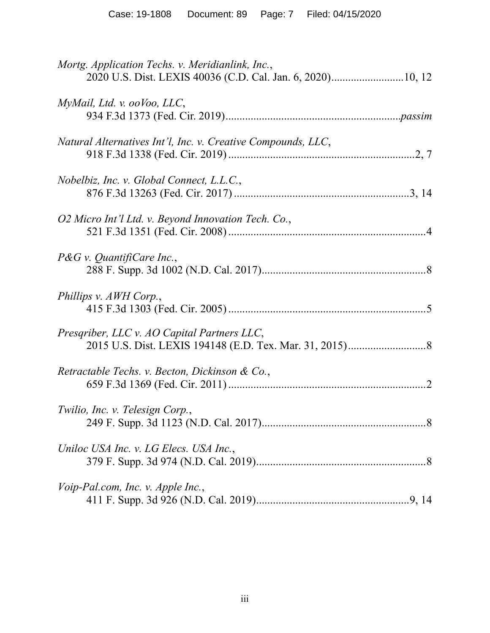| Mortg. Application Techs. v. Meridianlink, Inc.,<br>2020 U.S. Dist. LEXIS 40036 (C.D. Cal. Jan. 6, 2020)10, 12 |
|----------------------------------------------------------------------------------------------------------------|
| MyMail, Ltd. v. ooVoo, LLC,                                                                                    |
| Natural Alternatives Int'l, Inc. v. Creative Compounds, LLC,                                                   |
| Nobelbiz, Inc. v. Global Connect, L.L.C.,                                                                      |
| O2 Micro Int'l Ltd. v. Beyond Innovation Tech. Co.,                                                            |
| $P\&G$ v. QuantifiCare Inc.,                                                                                   |
| Phillips v. AWH Corp.,                                                                                         |
| Presqriber, LLC v. AO Capital Partners LLC,                                                                    |
| Retractable Techs. v. Becton, Dickinson & Co.,                                                                 |
| Twilio, Inc. v. Telesign Corp.,                                                                                |
| Uniloc USA Inc. v. LG Elecs. USA Inc.,                                                                         |
| Voip-Pal.com, Inc. v. Apple Inc.,                                                                              |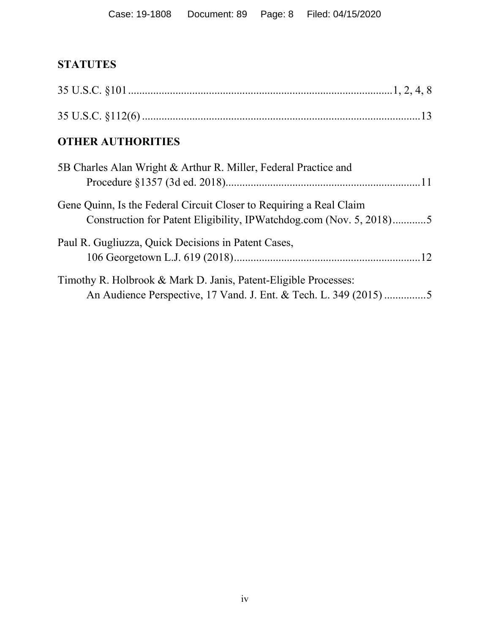# **STATUTES**

| <b>OTHER AUTHORITIES</b>                                                                                                                   |
|--------------------------------------------------------------------------------------------------------------------------------------------|
| 5B Charles Alan Wright & Arthur R. Miller, Federal Practice and                                                                            |
| Gene Quinn, Is the Federal Circuit Closer to Requiring a Real Claim<br>Construction for Patent Eligibility, IPWatchdog.com (Nov. 5, 2018)5 |
| Paul R. Gugliuzza, Quick Decisions in Patent Cases,                                                                                        |
| Timothy R. Holbrook & Mark D. Janis, Patent-Eligible Processes:<br>An Audience Perspective, 17 Vand. J. Ent. & Tech. L. 349 (2015)5        |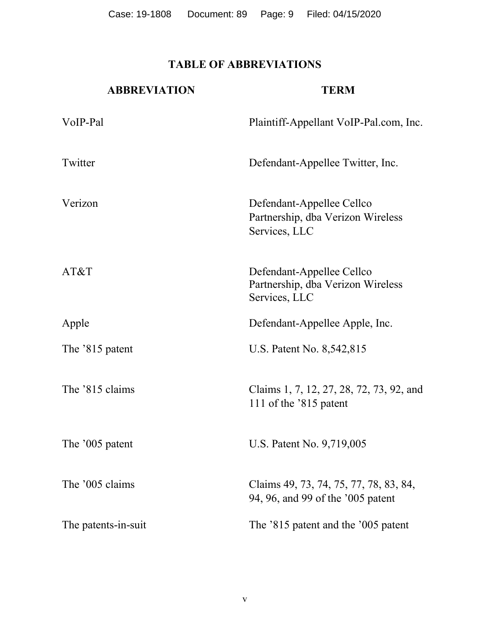Case: 19-1808 Document: 89 Page: 9 Filed: 04/15/2020

## **TABLE OF ABBREVIATIONS**

| <b>ABBREVIATION</b> | <b>TERM</b>                                                                     |
|---------------------|---------------------------------------------------------------------------------|
| VoIP-Pal            | Plaintiff-Appellant VoIP-Pal.com, Inc.                                          |
| Twitter             | Defendant-Appellee Twitter, Inc.                                                |
| Verizon             | Defendant-Appellee Cellco<br>Partnership, dba Verizon Wireless<br>Services, LLC |
| AT&T                | Defendant-Appellee Cellco<br>Partnership, dba Verizon Wireless<br>Services, LLC |
| Apple               | Defendant-Appellee Apple, Inc.                                                  |
| The '815 patent     | U.S. Patent No. 8,542,815                                                       |
| The '815 claims     | Claims 1, 7, 12, 27, 28, 72, 73, 92, and<br>111 of the '815 patent              |
| The '005 patent     | U.S. Patent No. 9,719,005                                                       |
| The '005 claims     | Claims 49, 73, 74, 75, 77, 78, 83, 84,<br>94, 96, and 99 of the '005 patent     |
| The patents-in-suit | The '815 patent and the '005 patent                                             |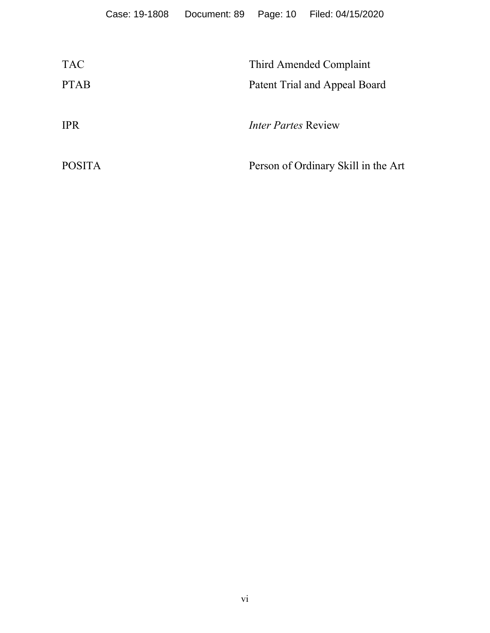| <b>TAC</b>    | Third Amended Complaint             |
|---------------|-------------------------------------|
| <b>PTAB</b>   | Patent Trial and Appeal Board       |
|               |                                     |
| <b>IPR</b>    | <i>Inter Partes Review</i>          |
|               |                                     |
| <b>POSITA</b> | Person of Ordinary Skill in the Art |
|               |                                     |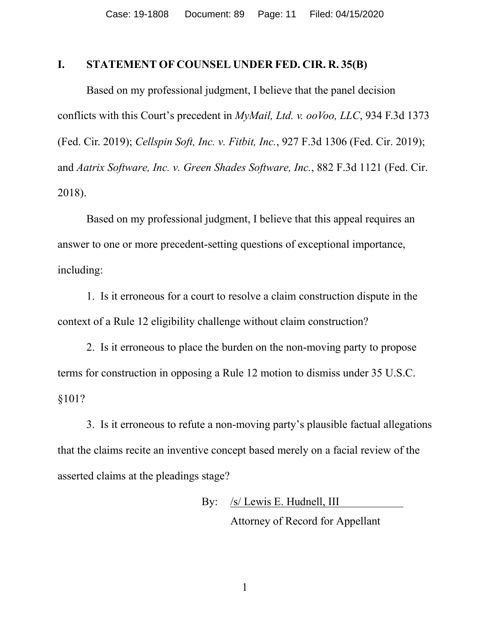#### **I. STATEMENT OF COUNSEL UNDER FED. CIR. R. 35(B)**

Based on my professional judgment, I believe that the panel decision conflicts with this Court's precedent in *MyMail, Ltd. v. ooVoo, LLC*, 934 F.3d 1373 (Fed. Cir. 2019); *Cellspin Soft, Inc. v. Fitbit, Inc.*, 927 F.3d 1306 (Fed. Cir. 2019); and *Aatrix Software, Inc. v. Green Shades Software, Inc.*, 882 F.3d 1121 (Fed. Cir. 2018).

Based on my professional judgment, I believe that this appeal requires an answer to one or more precedent-setting questions of exceptional importance, including:

1. Is it erroneous for a court to resolve a claim construction dispute in the context of a Rule 12 eligibility challenge without claim construction?

2. Is it erroneous to place the burden on the non-moving party to propose terms for construction in opposing a Rule 12 motion to dismiss under 35 U.S.C. §101?

3. Is it erroneous to refute a non-moving party's plausible factual allegations that the claims recite an inventive concept based merely on a facial review of the asserted claims at the pleadings stage?

> By: /s/ Lewis E. Hudnell, III Attorney of Record for Appellant

> > 1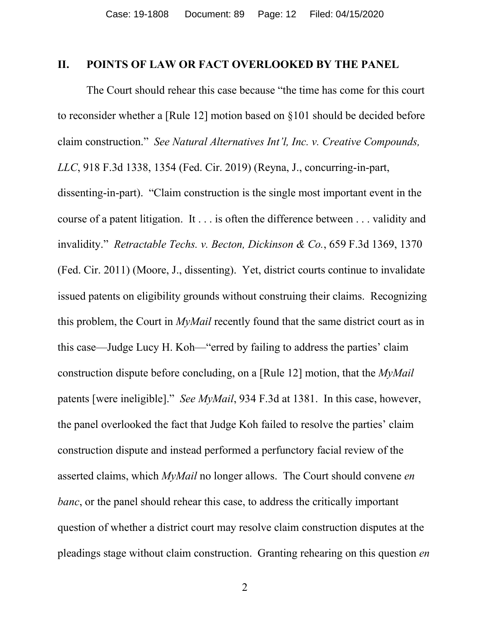#### **II. POINTS OF LAW OR FACT OVERLOOKED BY THE PANEL**

The Court should rehear this case because "the time has come for this court to reconsider whether a [Rule 12] motion based on §101 should be decided before claim construction." *See Natural Alternatives Int'l, Inc. v. Creative Compounds, LLC*, 918 F.3d 1338, 1354 (Fed. Cir. 2019) (Reyna, J., concurring-in-part, dissenting-in-part). "Claim construction is the single most important event in the course of a patent litigation. It . . . is often the difference between . . . validity and invalidity." *Retractable Techs. v. Becton, Dickinson & Co.*, 659 F.3d 1369, 1370 (Fed. Cir. 2011) (Moore, J., dissenting). Yet, district courts continue to invalidate issued patents on eligibility grounds without construing their claims. Recognizing this problem, the Court in *MyMail* recently found that the same district court as in this case—Judge Lucy H. Koh—"erred by failing to address the parties' claim construction dispute before concluding, on a [Rule 12] motion, that the *MyMail*  patents [were ineligible]." *See MyMail*, 934 F.3d at 1381. In this case, however, the panel overlooked the fact that Judge Koh failed to resolve the parties' claim construction dispute and instead performed a perfunctory facial review of the asserted claims, which *MyMail* no longer allows. The Court should convene *en banc*, or the panel should rehear this case, to address the critically important question of whether a district court may resolve claim construction disputes at the pleadings stage without claim construction. Granting rehearing on this question *en*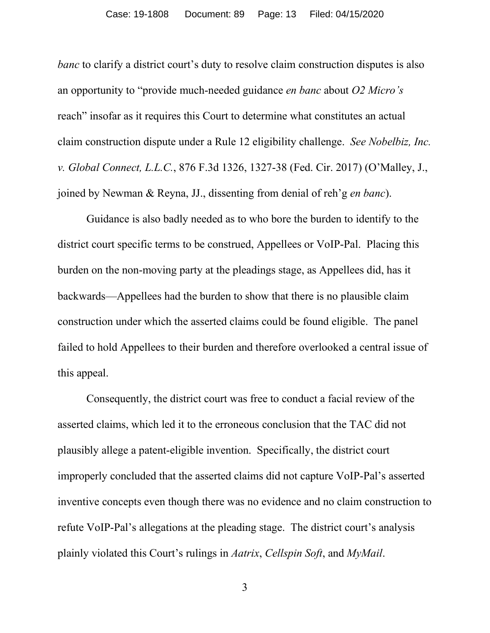#### Case: 19-1808 Document: 89 Page: 13 Filed: 04/15/2020

*banc* to clarify a district court's duty to resolve claim construction disputes is also an opportunity to "provide much-needed guidance *en banc* about *O2 Micro's* reach" insofar as it requires this Court to determine what constitutes an actual claim construction dispute under a Rule 12 eligibility challenge. *See Nobelbiz, Inc. v. Global Connect, L.L.C.*, 876 F.3d 1326, 1327-38 (Fed. Cir. 2017) (O'Malley, J., joined by Newman & Reyna, JJ., dissenting from denial of reh'g *en banc*).

Guidance is also badly needed as to who bore the burden to identify to the district court specific terms to be construed, Appellees or VoIP-Pal. Placing this burden on the non-moving party at the pleadings stage, as Appellees did, has it backwards—Appellees had the burden to show that there is no plausible claim construction under which the asserted claims could be found eligible. The panel failed to hold Appellees to their burden and therefore overlooked a central issue of this appeal.

Consequently, the district court was free to conduct a facial review of the asserted claims, which led it to the erroneous conclusion that the TAC did not plausibly allege a patent-eligible invention. Specifically, the district court improperly concluded that the asserted claims did not capture VoIP-Pal's asserted inventive concepts even though there was no evidence and no claim construction to refute VoIP-Pal's allegations at the pleading stage. The district court's analysis plainly violated this Court's rulings in *Aatrix*, *Cellspin Soft*, and *MyMail*.

3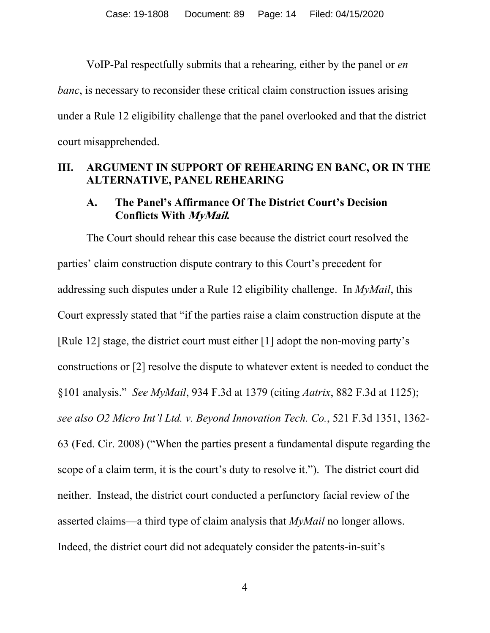VoIP-Pal respectfully submits that a rehearing, either by the panel or *en banc*, is necessary to reconsider these critical claim construction issues arising under a Rule 12 eligibility challenge that the panel overlooked and that the district court misapprehended.

#### **III. ARGUMENT IN SUPPORT OF REHEARING EN BANC, OR IN THE ALTERNATIVE, PANEL REHEARING**

#### **A. The Panel's Affirmance Of The District Court's Decision Conflicts With MyMail.**

The Court should rehear this case because the district court resolved the parties' claim construction dispute contrary to this Court's precedent for addressing such disputes under a Rule 12 eligibility challenge. In *MyMail*, this Court expressly stated that "if the parties raise a claim construction dispute at the [Rule 12] stage, the district court must either [1] adopt the non-moving party's constructions or [2] resolve the dispute to whatever extent is needed to conduct the §101 analysis." *See MyMail*, 934 F.3d at 1379 (citing *Aatrix*, 882 F.3d at 1125); *see also O2 Micro Int'l Ltd. v. Beyond Innovation Tech. Co.*, 521 F.3d 1351, 1362- 63 (Fed. Cir. 2008) ("When the parties present a fundamental dispute regarding the scope of a claim term, it is the court's duty to resolve it."). The district court did neither. Instead, the district court conducted a perfunctory facial review of the asserted claims—a third type of claim analysis that *MyMail* no longer allows. Indeed, the district court did not adequately consider the patents-in-suit's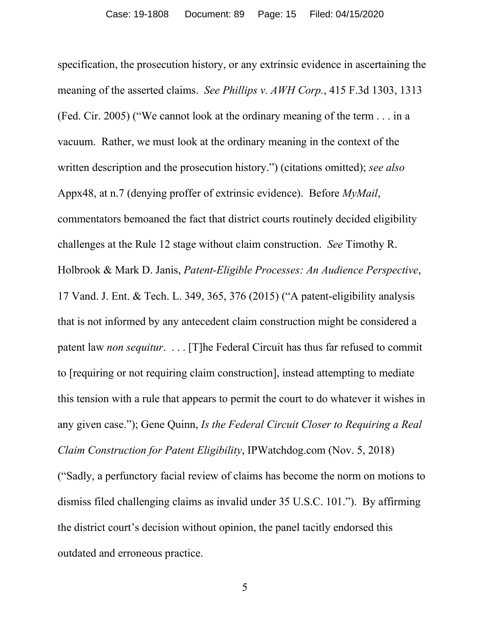specification, the prosecution history, or any extrinsic evidence in ascertaining the meaning of the asserted claims. *See Phillips v. AWH Corp.*, 415 F.3d 1303, 1313 (Fed. Cir. 2005) ("We cannot look at the ordinary meaning of the term . . . in a vacuum. Rather, we must look at the ordinary meaning in the context of the written description and the prosecution history.") (citations omitted); *see also* Appx48, at n.7 (denying proffer of extrinsic evidence). Before *MyMail*, commentators bemoaned the fact that district courts routinely decided eligibility challenges at the Rule 12 stage without claim construction. *See* Timothy R. Holbrook & Mark D. Janis, *Patent-Eligible Processes: An Audience Perspective*, 17 Vand. J. Ent. & Tech. L. 349, 365, 376 (2015) ("A patent-eligibility analysis that is not informed by any antecedent claim construction might be considered a patent law *non sequitur*. . . . [T]he Federal Circuit has thus far refused to commit to [requiring or not requiring claim construction], instead attempting to mediate this tension with a rule that appears to permit the court to do whatever it wishes in any given case."); Gene Quinn, *Is the Federal Circuit Closer to Requiring a Real Claim Construction for Patent Eligibility*, IPWatchdog.com (Nov. 5, 2018) ("Sadly, a perfunctory facial review of claims has become the norm on motions to dismiss filed challenging claims as invalid under 35 U.S.C. 101."). By affirming the district court's decision without opinion, the panel tacitly endorsed this outdated and erroneous practice.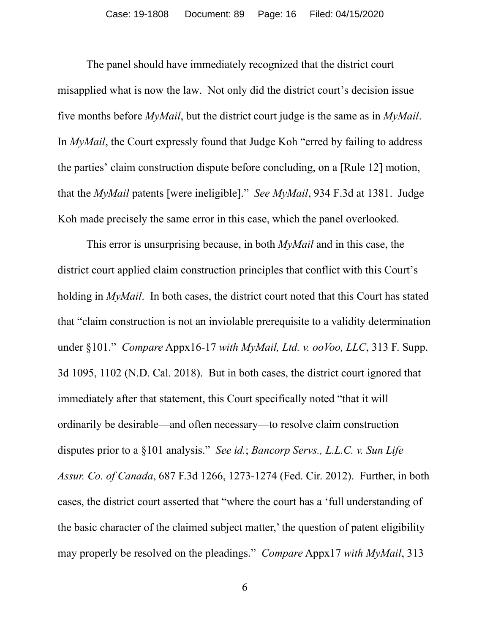The panel should have immediately recognized that the district court misapplied what is now the law. Not only did the district court's decision issue five months before *MyMail*, but the district court judge is the same as in *MyMail*. In *MyMail*, the Court expressly found that Judge Koh "erred by failing to address the parties' claim construction dispute before concluding, on a [Rule 12] motion, that the *MyMail* patents [were ineligible]." *See MyMail*, 934 F.3d at 1381. Judge Koh made precisely the same error in this case, which the panel overlooked.

This error is unsurprising because, in both *MyMail* and in this case, the district court applied claim construction principles that conflict with this Court's holding in *MyMail*. In both cases, the district court noted that this Court has stated that "claim construction is not an inviolable prerequisite to a validity determination under §101." *Compare* Appx16-17 *with MyMail, Ltd. v. ooVoo, LLC*, 313 F. Supp. 3d 1095, 1102 (N.D. Cal. 2018). But in both cases, the district court ignored that immediately after that statement, this Court specifically noted "that it will ordinarily be desirable—and often necessary—to resolve claim construction disputes prior to a §101 analysis." *See id.*; *Bancorp Servs., L.L.C. v. Sun Life Assur. Co. of Canada*, 687 F.3d 1266, 1273-1274 (Fed. Cir. 2012). Further, in both cases, the district court asserted that "where the court has a 'full understanding of the basic character of the claimed subject matter,' the question of patent eligibility may properly be resolved on the pleadings." *Compare* Appx17 *with MyMail*, 313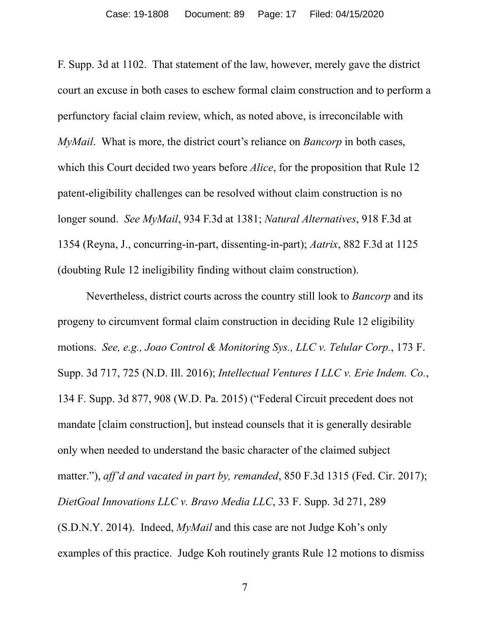F. Supp. 3d at 1102. That statement of the law, however, merely gave the district court an excuse in both cases to eschew formal claim construction and to perform a perfunctory facial claim review, which, as noted above, is irreconcilable with *MyMail*. What is more, the district court's reliance on *Bancorp* in both cases, which this Court decided two years before *Alice*, for the proposition that Rule 12 patent-eligibility challenges can be resolved without claim construction is no longer sound. *See MyMail*, 934 F.3d at 1381; *Natural Alternatives*, 918 F.3d at 1354 (Reyna, J., concurring-in-part, dissenting-in-part); *Aatrix*, 882 F.3d at 1125 (doubting Rule 12 ineligibility finding without claim construction).

Nevertheless, district courts across the country still look to *Bancorp* and its progeny to circumvent formal claim construction in deciding Rule 12 eligibility motions. *See, e.g., Joao Control & Monitoring Sys., LLC v. Telular Corp.*, 173 F. Supp. 3d 717, 725 (N.D. Ill. 2016); *Intellectual Ventures I LLC v. Erie Indem. Co.*, 134 F. Supp. 3d 877, 908 (W.D. Pa. 2015) ("Federal Circuit precedent does not mandate [claim construction], but instead counsels that it is generally desirable only when needed to understand the basic character of the claimed subject matter."), *aff'd and vacated in part by, remanded*, 850 F.3d 1315 (Fed. Cir. 2017); *DietGoal Innovations LLC v. Bravo Media LLC*, 33 F. Supp. 3d 271, 289 (S.D.N.Y. 2014). Indeed, *MyMail* and this case are not Judge Koh's only examples of this practice. Judge Koh routinely grants Rule 12 motions to dismiss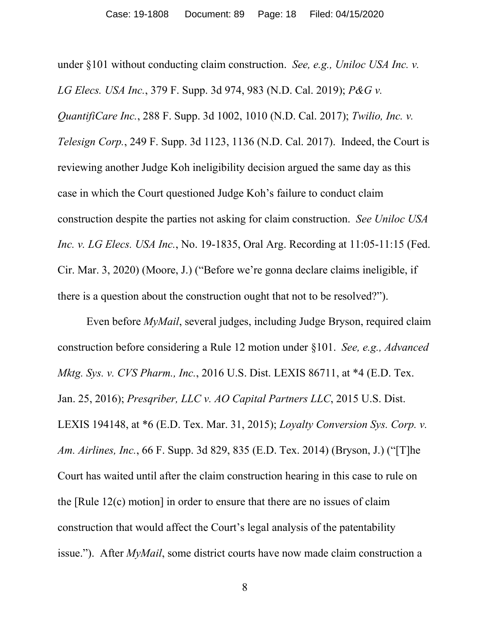under §101 without conducting claim construction. *See, e.g., Uniloc USA Inc. v. LG Elecs. USA Inc.*, 379 F. Supp. 3d 974, 983 (N.D. Cal. 2019); *P&G v. QuantifiCare Inc.*, 288 F. Supp. 3d 1002, 1010 (N.D. Cal. 2017); *Twilio, Inc. v. Telesign Corp.*, 249 F. Supp. 3d 1123, 1136 (N.D. Cal. 2017). Indeed, the Court is reviewing another Judge Koh ineligibility decision argued the same day as this case in which the Court questioned Judge Koh's failure to conduct claim construction despite the parties not asking for claim construction. *See Uniloc USA Inc. v. LG Elecs. USA Inc.*, No. 19-1835, Oral Arg. Recording at 11:05-11:15 (Fed. Cir. Mar. 3, 2020) (Moore, J.) ("Before we're gonna declare claims ineligible, if there is a question about the construction ought that not to be resolved?").

Even before *MyMail*, several judges, including Judge Bryson, required claim construction before considering a Rule 12 motion under §101. *See, e.g., Advanced Mktg. Sys. v. CVS Pharm., Inc.*, 2016 U.S. Dist. LEXIS 86711, at \*4 (E.D. Tex. Jan. 25, 2016); *Presqriber, LLC v. AO Capital Partners LLC*, 2015 U.S. Dist. LEXIS 194148, at \*6 (E.D. Tex. Mar. 31, 2015); *Loyalty Conversion Sys. Corp. v. Am. Airlines, Inc.*, 66 F. Supp. 3d 829, 835 (E.D. Tex. 2014) (Bryson, J.) ("[T]he Court has waited until after the claim construction hearing in this case to rule on the [Rule 12(c) motion] in order to ensure that there are no issues of claim construction that would affect the Court's legal analysis of the patentability issue."). After *MyMail*, some district courts have now made claim construction a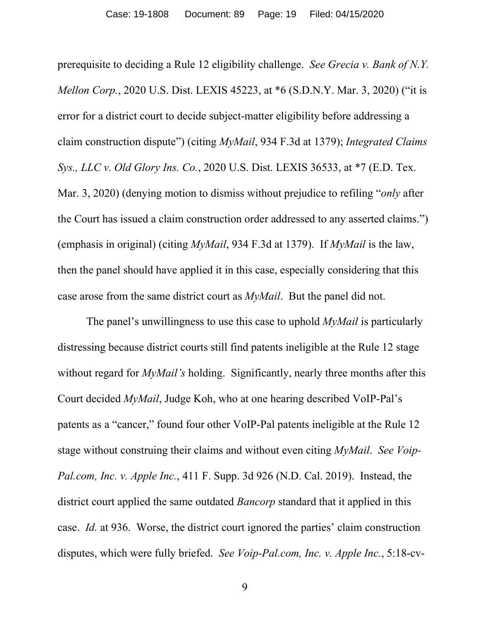prerequisite to deciding a Rule 12 eligibility challenge. *See Grecia v. Bank of N.Y. Mellon Corp.*, 2020 U.S. Dist. LEXIS 45223, at \*6 (S.D.N.Y. Mar. 3, 2020) ("it is error for a district court to decide subject-matter eligibility before addressing a claim construction dispute") (citing *MyMail*, 934 F.3d at 1379); *Integrated Claims Sys., LLC v. Old Glory Ins. Co.*, 2020 U.S. Dist. LEXIS 36533, at \*7 (E.D. Tex. Mar. 3, 2020) (denying motion to dismiss without prejudice to refiling "*only* after the Court has issued a claim construction order addressed to any asserted claims.") (emphasis in original) (citing *MyMail*, 934 F.3d at 1379). If *MyMail* is the law, then the panel should have applied it in this case, especially considering that this case arose from the same district court as *MyMail*. But the panel did not.

The panel's unwillingness to use this case to uphold *MyMail* is particularly distressing because district courts still find patents ineligible at the Rule 12 stage without regard for *MyMail's* holding. Significantly, nearly three months after this Court decided *MyMail*, Judge Koh, who at one hearing described VoIP-Pal's patents as a "cancer," found four other VoIP-Pal patents ineligible at the Rule 12 stage without construing their claims and without even citing *MyMail*. *See Voip-Pal.com, Inc. v. Apple Inc.*, 411 F. Supp. 3d 926 (N.D. Cal. 2019). Instead, the district court applied the same outdated *Bancorp* standard that it applied in this case. *Id.* at 936. Worse, the district court ignored the parties' claim construction disputes, which were fully briefed. *See Voip-Pal.com, Inc. v. Apple Inc.*, 5:18-cv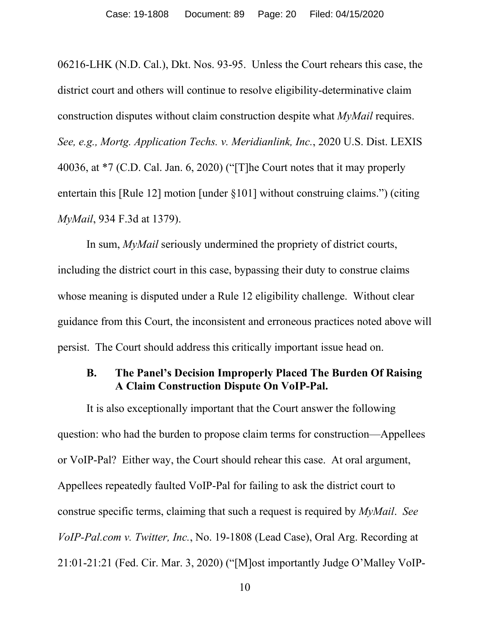06216-LHK (N.D. Cal.), Dkt. Nos. 93-95. Unless the Court rehears this case, the district court and others will continue to resolve eligibility-determinative claim construction disputes without claim construction despite what *MyMail* requires. *See, e.g., Mortg. Application Techs. v. Meridianlink, Inc.*, 2020 U.S. Dist. LEXIS 40036, at \*7 (C.D. Cal. Jan. 6, 2020) ("[T]he Court notes that it may properly entertain this [Rule 12] motion [under §101] without construing claims.") (citing *MyMail*, 934 F.3d at 1379).

In sum, *MyMail* seriously undermined the propriety of district courts, including the district court in this case, bypassing their duty to construe claims whose meaning is disputed under a Rule 12 eligibility challenge. Without clear guidance from this Court, the inconsistent and erroneous practices noted above will persist. The Court should address this critically important issue head on.

#### **B. The Panel's Decision Improperly Placed The Burden Of Raising A Claim Construction Dispute On VoIP-Pal.**

It is also exceptionally important that the Court answer the following question: who had the burden to propose claim terms for construction—Appellees or VoIP-Pal? Either way, the Court should rehear this case. At oral argument, Appellees repeatedly faulted VoIP-Pal for failing to ask the district court to construe specific terms, claiming that such a request is required by *MyMail*. *See VoIP-Pal.com v. Twitter, Inc.*, No. 19-1808 (Lead Case), Oral Arg. Recording at 21:01-21:21 (Fed. Cir. Mar. 3, 2020) ("[M]ost importantly Judge O'Malley VoIP-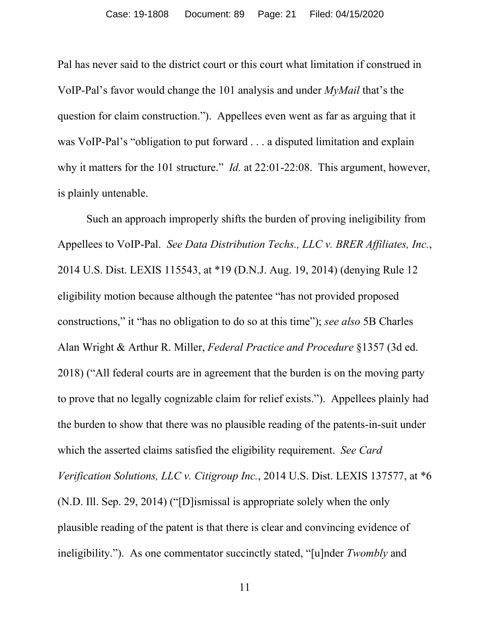Pal has never said to the district court or this court what limitation if construed in VoIP-Pal's favor would change the 101 analysis and under *MyMail* that's the question for claim construction."). Appellees even went as far as arguing that it was VoIP-Pal's "obligation to put forward . . . a disputed limitation and explain why it matters for the 101 structure." *Id.* at 22:01-22:08. This argument, however, is plainly untenable.

Such an approach improperly shifts the burden of proving ineligibility from Appellees to VoIP-Pal. *See Data Distribution Techs., LLC v. BRER Affiliates, Inc.*, 2014 U.S. Dist. LEXIS 115543, at \*19 (D.N.J. Aug. 19, 2014) (denying Rule 12 eligibility motion because although the patentee "has not provided proposed constructions," it "has no obligation to do so at this time"); *see also* 5B Charles Alan Wright & Arthur R. Miller, *Federal Practice and Procedure* §1357 (3d ed. 2018) ("All federal courts are in agreement that the burden is on the moving party to prove that no legally cognizable claim for relief exists."). Appellees plainly had the burden to show that there was no plausible reading of the patents-in-suit under which the asserted claims satisfied the eligibility requirement. *See Card Verification Solutions, LLC v. Citigroup Inc.*, 2014 U.S. Dist. LEXIS 137577, at \*6 (N.D. Ill. Sep. 29, 2014) ("[D]ismissal is appropriate solely when the only plausible reading of the patent is that there is clear and convincing evidence of ineligibility."). As one commentator succinctly stated, "[u]nder *Twombly* and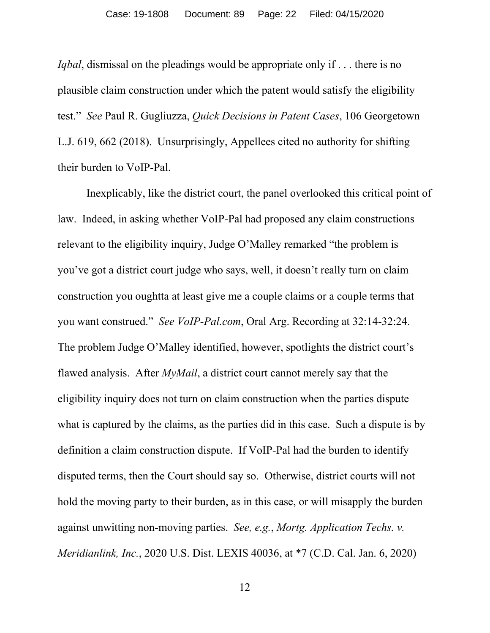*Iqbal*, dismissal on the pleadings would be appropriate only if . . . there is no plausible claim construction under which the patent would satisfy the eligibility test." *See* Paul R. Gugliuzza, *Quick Decisions in Patent Cases*, 106 Georgetown L.J. 619, 662 (2018). Unsurprisingly, Appellees cited no authority for shifting their burden to VoIP-Pal.

Inexplicably, like the district court, the panel overlooked this critical point of law. Indeed, in asking whether VoIP-Pal had proposed any claim constructions relevant to the eligibility inquiry, Judge O'Malley remarked "the problem is you've got a district court judge who says, well, it doesn't really turn on claim construction you oughtta at least give me a couple claims or a couple terms that you want construed." *See VoIP-Pal.com*, Oral Arg. Recording at 32:14-32:24. The problem Judge O'Malley identified, however, spotlights the district court's flawed analysis. After *MyMail*, a district court cannot merely say that the eligibility inquiry does not turn on claim construction when the parties dispute what is captured by the claims, as the parties did in this case. Such a dispute is by definition a claim construction dispute. If VoIP-Pal had the burden to identify disputed terms, then the Court should say so. Otherwise, district courts will not hold the moving party to their burden, as in this case, or will misapply the burden against unwitting non-moving parties. *See, e.g.*, *Mortg. Application Techs. v. Meridianlink, Inc.*, 2020 U.S. Dist. LEXIS 40036, at \*7 (C.D. Cal. Jan. 6, 2020)

12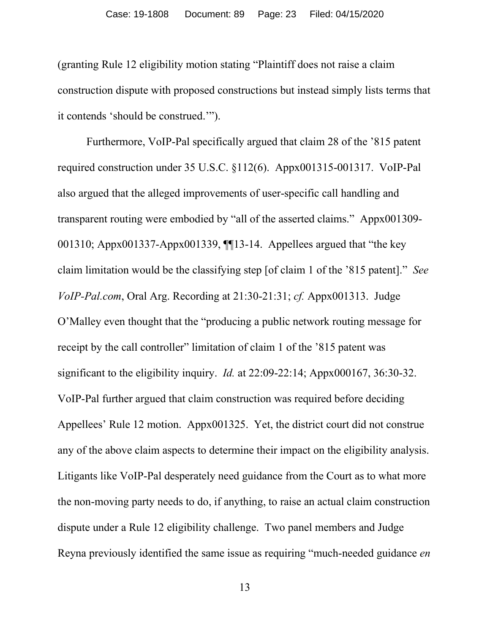(granting Rule 12 eligibility motion stating "Plaintiff does not raise a claim construction dispute with proposed constructions but instead simply lists terms that it contends 'should be construed.'").

Furthermore, VoIP-Pal specifically argued that claim 28 of the '815 patent required construction under 35 U.S.C. §112(6). Appx001315-001317. VoIP-Pal also argued that the alleged improvements of user-specific call handling and transparent routing were embodied by "all of the asserted claims." Appx001309- 001310; Appx001337-Appx001339, ¶¶13-14. Appellees argued that "the key claim limitation would be the classifying step [of claim 1 of the '815 patent]." *See VoIP-Pal.com*, Oral Arg. Recording at 21:30-21:31; *cf.* Appx001313. Judge O'Malley even thought that the "producing a public network routing message for receipt by the call controller" limitation of claim 1 of the '815 patent was significant to the eligibility inquiry. *Id.* at 22:09-22:14; Appx000167, 36:30-32. VoIP-Pal further argued that claim construction was required before deciding Appellees' Rule 12 motion. Appx001325. Yet, the district court did not construe any of the above claim aspects to determine their impact on the eligibility analysis. Litigants like VoIP-Pal desperately need guidance from the Court as to what more the non-moving party needs to do, if anything, to raise an actual claim construction dispute under a Rule 12 eligibility challenge. Two panel members and Judge Reyna previously identified the same issue as requiring "much-needed guidance *en*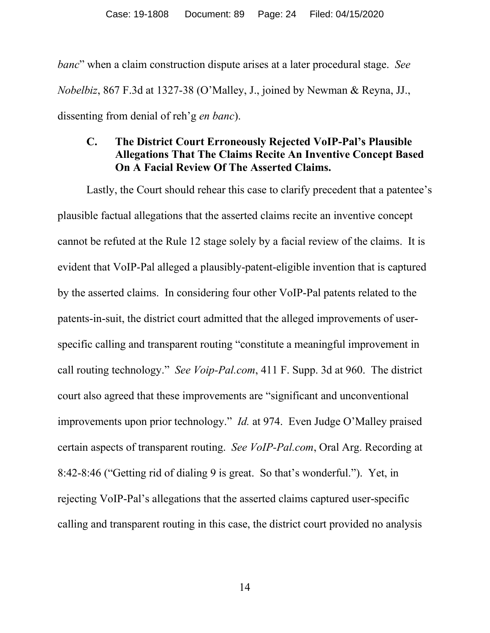*banc*" when a claim construction dispute arises at a later procedural stage. *See Nobelbiz*, 867 F.3d at 1327-38 (O'Malley, J., joined by Newman & Reyna, JJ., dissenting from denial of reh'g *en banc*).

#### **C. The District Court Erroneously Rejected VoIP-Pal's Plausible Allegations That The Claims Recite An Inventive Concept Based On A Facial Review Of The Asserted Claims.**

Lastly, the Court should rehear this case to clarify precedent that a patentee's plausible factual allegations that the asserted claims recite an inventive concept cannot be refuted at the Rule 12 stage solely by a facial review of the claims. It is evident that VoIP-Pal alleged a plausibly-patent-eligible invention that is captured by the asserted claims. In considering four other VoIP-Pal patents related to the patents-in-suit, the district court admitted that the alleged improvements of userspecific calling and transparent routing "constitute a meaningful improvement in call routing technology." *See Voip-Pal.com*, 411 F. Supp. 3d at 960. The district court also agreed that these improvements are "significant and unconventional improvements upon prior technology." *Id.* at 974. Even Judge O'Malley praised certain aspects of transparent routing. *See VoIP-Pal.com*, Oral Arg. Recording at 8:42-8:46 ("Getting rid of dialing 9 is great. So that's wonderful."). Yet, in rejecting VoIP-Pal's allegations that the asserted claims captured user-specific calling and transparent routing in this case, the district court provided no analysis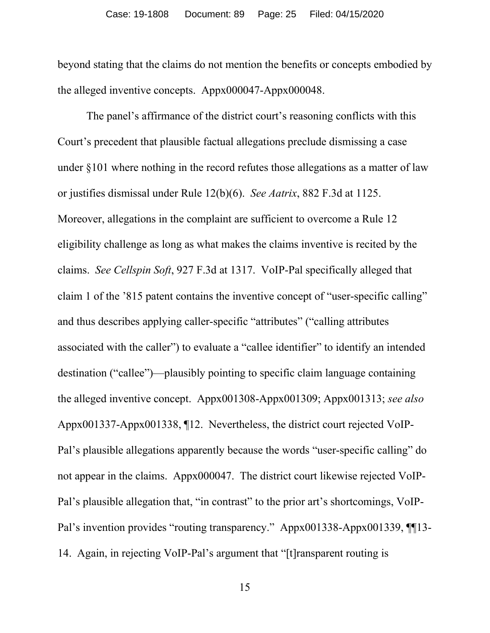beyond stating that the claims do not mention the benefits or concepts embodied by the alleged inventive concepts. Appx000047-Appx000048.

The panel's affirmance of the district court's reasoning conflicts with this Court's precedent that plausible factual allegations preclude dismissing a case under §101 where nothing in the record refutes those allegations as a matter of law or justifies dismissal under Rule 12(b)(6). *See Aatrix*, 882 F.3d at 1125. Moreover, allegations in the complaint are sufficient to overcome a Rule 12 eligibility challenge as long as what makes the claims inventive is recited by the claims. *See Cellspin Soft*, 927 F.3d at 1317. VoIP-Pal specifically alleged that claim 1 of the '815 patent contains the inventive concept of "user-specific calling" and thus describes applying caller-specific "attributes" ("calling attributes associated with the caller") to evaluate a "callee identifier" to identify an intended destination ("callee")—plausibly pointing to specific claim language containing the alleged inventive concept. Appx001308-Appx001309; Appx001313; *see also* Appx001337-Appx001338, ¶12. Nevertheless, the district court rejected VoIP-Pal's plausible allegations apparently because the words "user-specific calling" do not appear in the claims. Appx000047. The district court likewise rejected VoIP-Pal's plausible allegation that, "in contrast" to the prior art's shortcomings, VoIP-Pal's invention provides "routing transparency." Appx001338-Appx001339, ¶[13-14. Again, in rejecting VoIP-Pal's argument that "[t]ransparent routing is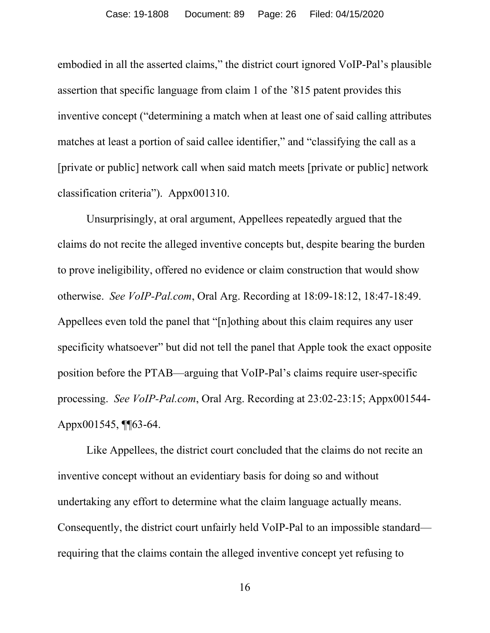embodied in all the asserted claims," the district court ignored VoIP-Pal's plausible assertion that specific language from claim 1 of the '815 patent provides this inventive concept ("determining a match when at least one of said calling attributes matches at least a portion of said callee identifier," and "classifying the call as a [private or public] network call when said match meets [private or public] network classification criteria"). Appx001310.

Unsurprisingly, at oral argument, Appellees repeatedly argued that the claims do not recite the alleged inventive concepts but, despite bearing the burden to prove ineligibility, offered no evidence or claim construction that would show otherwise. *See VoIP-Pal.com*, Oral Arg. Recording at 18:09-18:12, 18:47-18:49. Appellees even told the panel that "[n]othing about this claim requires any user specificity whatsoever" but did not tell the panel that Apple took the exact opposite position before the PTAB—arguing that VoIP-Pal's claims require user-specific processing. *See VoIP-Pal.com*, Oral Arg. Recording at 23:02-23:15; Appx001544- Appx001545, ¶¶63-64.

Like Appellees, the district court concluded that the claims do not recite an inventive concept without an evidentiary basis for doing so and without undertaking any effort to determine what the claim language actually means. Consequently, the district court unfairly held VoIP-Pal to an impossible standard requiring that the claims contain the alleged inventive concept yet refusing to

16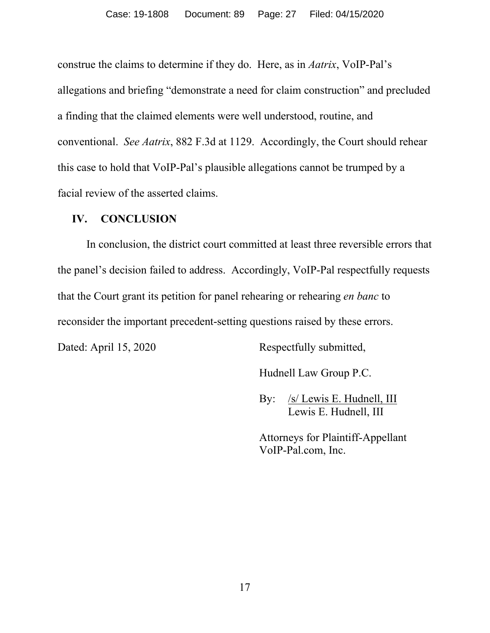construe the claims to determine if they do. Here, as in *Aatrix*, VoIP-Pal's allegations and briefing "demonstrate a need for claim construction" and precluded a finding that the claimed elements were well understood, routine, and conventional. *See Aatrix*, 882 F.3d at 1129. Accordingly, the Court should rehear this case to hold that VoIP-Pal's plausible allegations cannot be trumped by a facial review of the asserted claims.

#### **IV. CONCLUSION**

In conclusion, the district court committed at least three reversible errors that the panel's decision failed to address. Accordingly, VoIP-Pal respectfully requests that the Court grant its petition for panel rehearing or rehearing *en banc* to reconsider the important precedent-setting questions raised by these errors.

Dated: April 15, 2020 Respectfully submitted,

Hudnell Law Group P.C.

By: /s/ Lewis E. Hudnell, III Lewis E. Hudnell, III

Attorneys for Plaintiff-Appellant VoIP-Pal.com, Inc.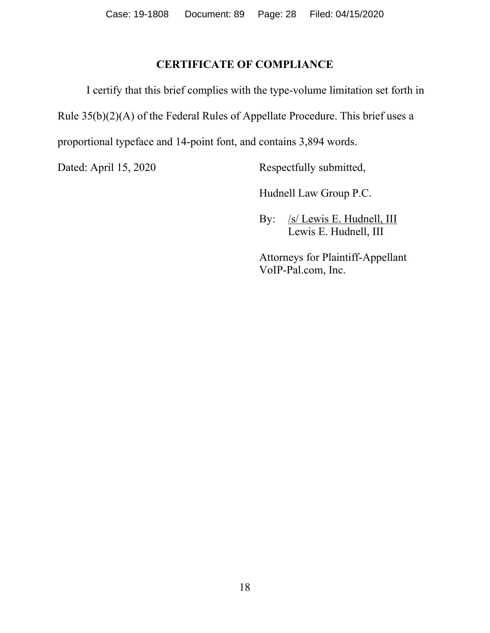#### **CERTIFICATE OF COMPLIANCE**

I certify that this brief complies with the type-volume limitation set forth in Rule 35(b)(2)(A) of the Federal Rules of Appellate Procedure. This brief uses a proportional typeface and 14-point font, and contains 3,894 words.

Dated: April 15, 2020 Respectfully submitted,

Hudnell Law Group P.C.

By: /s/ Lewis E. Hudnell, III Lewis E. Hudnell, III

Attorneys for Plaintiff-Appellant VoIP-Pal.com, Inc.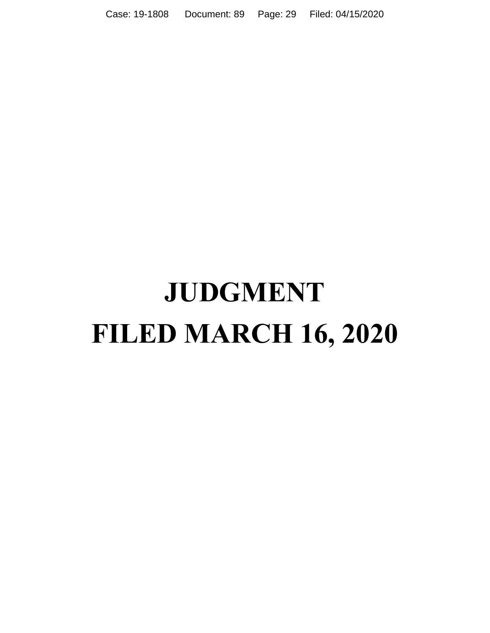Case: 19-1808 Document: 89 Page: 29 Filed: 04/15/2020

# **JUDGMENT FILED MARCH 16, 2020**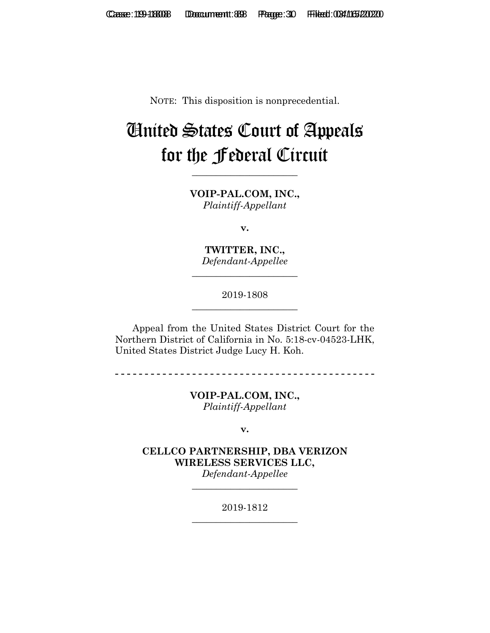NOTE: This disposition is nonprecedential.

# United States Court of Appeals for the Federal Circuit

**\_\_\_\_\_\_\_\_\_\_\_\_\_\_\_\_\_\_\_\_\_\_**

**VOIP-PAL.COM, INC.,** *Plaintiff-Appellant*

**v.**

**TWITTER, INC.,** *Defendant-Appellee*

**\_\_\_\_\_\_\_\_\_\_\_\_\_\_\_\_\_\_\_\_\_\_**

2019-1808 **\_\_\_\_\_\_\_\_\_\_\_\_\_\_\_\_\_\_\_\_\_\_**

Appeal from the United States District Court for the Northern District of California in No. 5:18-cv-04523-LHK, United States District Judge Lucy H. Koh.

**- - - - - - - - - - - - - - - - - - - - - - - - - - - - - - - - - - - - - - - - - - - -**

**VOIP-PAL.COM, INC.,** *Plaintiff-Appellant*

**v.**

**CELLCO PARTNERSHIP, DBA VERIZON WIRELESS SERVICES LLC,** *Defendant-Appellee*

> 2019-1812 **\_\_\_\_\_\_\_\_\_\_\_\_\_\_\_\_\_\_\_\_\_\_**

> **\_\_\_\_\_\_\_\_\_\_\_\_\_\_\_\_\_\_\_\_\_\_**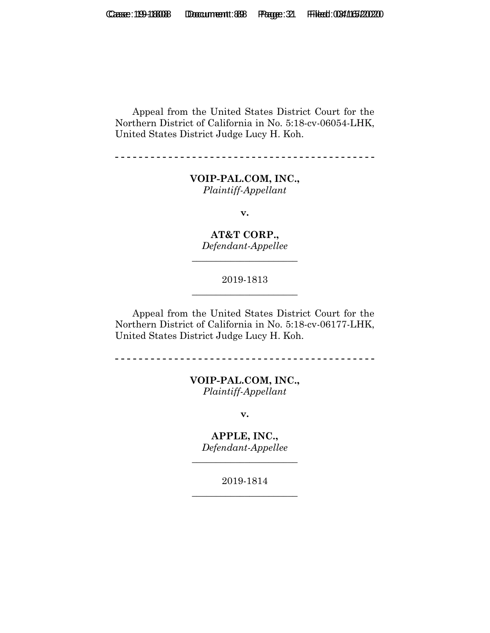Appeal from the United States District Court for the Northern District of California in No. 5:18-cv-06054-LHK, United States District Judge Lucy H. Koh.

**- - - - - - - - - - - - - - - - - - - - - - - - - - - - - - - - - - - - - - - - - - - -**

**VOIP-PAL.COM, INC.,** *Plaintiff-Appellant*

**v.**

**AT&T CORP.,** *Defendant-Appellee*

**\_\_\_\_\_\_\_\_\_\_\_\_\_\_\_\_\_\_\_\_\_\_**

2019-1813 **\_\_\_\_\_\_\_\_\_\_\_\_\_\_\_\_\_\_\_\_\_\_**

Appeal from the United States District Court for the Northern District of California in No. 5:18-cv-06177-LHK, United States District Judge Lucy H. Koh.

-------------------------------------

**VOIP-PAL.COM, INC.,** *Plaintiff-Appellant*

**v.**

**APPLE, INC.,** *Defendant-Appellee*

**\_\_\_\_\_\_\_\_\_\_\_\_\_\_\_\_\_\_\_\_\_\_**

2019-1814 **\_\_\_\_\_\_\_\_\_\_\_\_\_\_\_\_\_\_\_\_\_\_**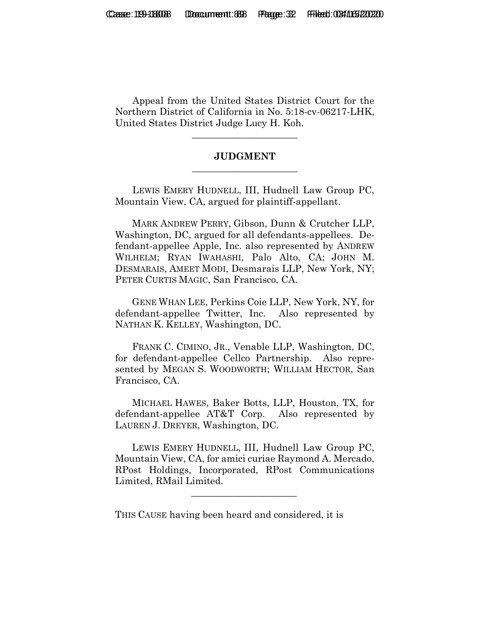Appeal from the United States District Court for the Northern District of California in No. 5:18-cv-06217-LHK, United States District Judge Lucy H. Koh.

**\_\_\_\_\_\_\_\_\_\_\_\_\_\_\_\_\_\_\_\_\_\_**

#### **JUDGMENT \_\_\_\_\_\_\_\_\_\_\_\_\_\_\_\_\_\_\_\_\_\_**

LEWIS EMERY HUDNELL, III, Hudnell Law Group PC, Mountain View, CA, argued for plaintiff-appellant.

 MARK ANDREW PERRY, Gibson, Dunn & Crutcher LLP, Washington, DC, argued for all defendants-appellees. Defendant-appellee Apple, Inc. also represented by ANDREW WILHELM; RYAN IWAHASHI, Palo Alto, CA; JOHN M. DESMARAIS, AMEET MODI, Desmarais LLP, New York, NY; PETER CURTIS MAGIC, San Francisco, CA.

 GENE WHAN LEE, Perkins Coie LLP, New York, NY, for defendant-appellee Twitter, Inc. Also represented by NATHAN K. KELLEY, Washington, DC.

 FRANK C. CIMINO, JR., Venable LLP, Washington, DC, for defendant-appellee Cellco Partnership. Also represented by MEGAN S. WOODWORTH; WILLIAM HECTOR, San Francisco, CA.

 MICHAEL HAWES, Baker Botts, LLP, Houston, TX, for defendant-appellee AT&T Corp. Also represented by LAUREN J. DREYER, Washington, DC.

 LEWIS EMERY HUDNELL, III, Hudnell Law Group PC, Mountain View, CA, for amici curiae Raymond A. Mercado, RPost Holdings, Incorporated, RPost Communications Limited, RMail Limited.

THIS CAUSE having been heard and considered, it is

 $\mathcal{L}_\text{max}$  and  $\mathcal{L}_\text{max}$  and  $\mathcal{L}_\text{max}$  and  $\mathcal{L}_\text{max}$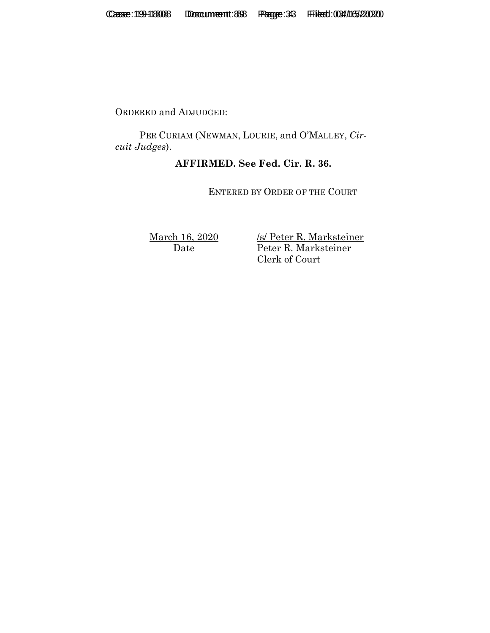ORDERED and ADJUDGED:

 PER CURIAM (NEWMAN, LOURIE, and O'MALLEY, *Circuit Judges*).

#### **AFFIRMED. See Fed. Cir. R. 36.**

ENTERED BY ORDER OF THE COURT

March 16, 2020 Date

/s/ Peter R. Marksteiner Peter R. Marksteiner Clerk of Court